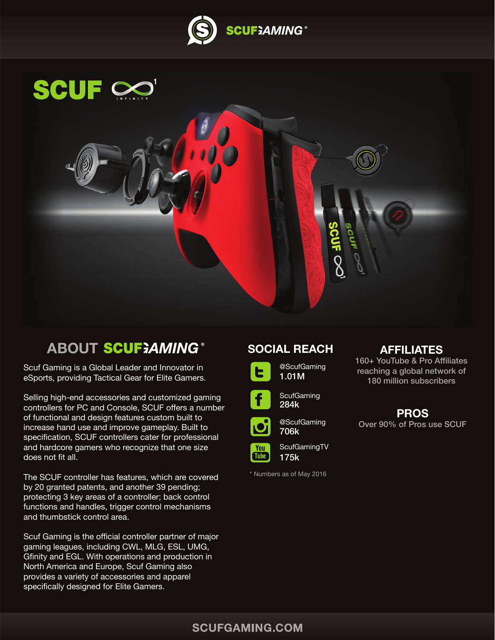



# **ABOUT SCUF; AMING**

Scuf Gaming is a Global Leader and Innovator in eSports, providing Tactical Gear for Elite Gamers.

Selling high-end accessories and customized gaming controllers for PC and Console, SCUF offers a number of functional and design features custom built to increase hand use and improve gameplay. Built to specification, SCUF controllers cater for professional and hardcore gamers who recognize that one size does not fit all.

The SCUF controller has features, which are covered by 20 granted patents, and another 39 pending; protecting 3 key areas of a controller; back control functions and handles, trigger control mechanisms and thumbstick control area.

Scuf Gaming is the official controller partner of major gaming leagues, including CWL, MLG, ESL, UMG, Gfinity and EGL. With operations and production in North America and Europe, Scuf Gaming also provides a variety of accessories and apparel specifically designed for Elite Gamers.

## **SOCIAL REACH**





@ScufGaming 706k



\* Numbers as of May 2016

## **AFFILIATES**

160+ YouTube & Pro Affiliates reaching a global network of 180 million subscribers

# **PROS**

Over 90% of Pros use SCUF

## **SCUFGAMING.COM**